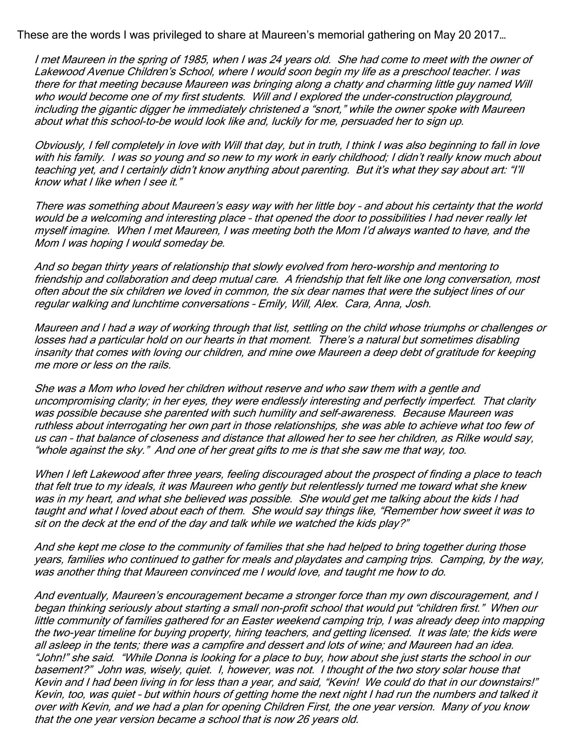These are the words I was privileged to share at Maureen's memorial gathering on May 20 2017…

I met Maureen in the spring of 1985, when I was 24 years old. She had come to meet with the owner of Lakewood Avenue Children's School, where I would soon begin my life as a preschool teacher. I was there for that meeting because Maureen was bringing along a chatty and charming little guy named Will who would become one of my first students. Will and I explored the under-construction playground, including the gigantic digger he immediately christened a "snort," while the owner spoke with Maureen about what this school-to-be would look like and, luckily for me, persuaded her to sign up.

Obviously, I fell completely in love with Will that day, but in truth, I think I was also beginning to fall in love with his family. I was so young and so new to my work in early childhood; I didn't really know much about teaching yet, and I certainly didn't know anything about parenting. But it's what they say about art: "I'll know what I like when I see it."

There was something about Maureen's easy way with her little boy – and about his certainty that the world would be a welcoming and interesting place – that opened the door to possibilities I had never really let myself imagine. When I met Maureen, I was meeting both the Mom I'd always wanted to have, and the Mom I was hoping I would someday be.

And so began thirty years of relationship that slowly evolved from hero-worship and mentoring to friendship and collaboration and deep mutual care. A friendship that felt like one long conversation, most often about the six children we loved in common, the six dear names that were the subject lines of our regular walking and lunchtime conversations – Emily, Will, Alex. Cara, Anna, Josh.

Maureen and I had a way of working through that list, settling on the child whose triumphs or challenges or losses had a particular hold on our hearts in that moment. There's a natural but sometimes disabling insanity that comes with loving our children, and mine owe Maureen a deep debt of gratitude for keeping me more or less on the rails.

She was a Mom who loved her children without reserve and who saw them with a gentle and uncompromising clarity; in her eyes, they were endlessly interesting and perfectly imperfect. That clarity was possible because she parented with such humility and self-awareness. Because Maureen was ruthless about interrogating her own part in those relationships, she was able to achieve what too few of us can – that balance of closeness and distance that allowed her to see her children, as Rilke would say, "whole against the sky." And one of her great gifts to me is that she saw me that way, too.

When I left Lakewood after three years, feeling discouraged about the prospect of finding a place to teach that felt true to my ideals, it was Maureen who gently but relentlessly turned me toward what she knew was in my heart, and what she believed was possible. She would get me talking about the kids I had taught and what I loved about each of them. She would say things like, "Remember how sweet it was to sit on the deck at the end of the day and talk while we watched the kids play?"

And she kept me close to the community of families that she had helped to bring together during those years, families who continued to gather for meals and playdates and camping trips. Camping, by the way, was another thing that Maureen convinced me I would love, and taught me how to do.

And eventually, Maureen's encouragement became a stronger force than my own discouragement, and I began thinking seriously about starting a small non-profit school that would put "children first." When our little community of families gathered for an Easter weekend camping trip, I was already deep into mapping the two-year timeline for buying property, hiring teachers, and getting licensed. It was late; the kids were all asleep in the tents; there was a campfire and dessert and lots of wine; and Maureen had an idea. "John!" she said. "While Donna is looking for a place to buy, how about she just starts the school in our basement?" John was, wisely, quiet. I, however, was not. I thought of the two story solar house that Kevin and I had been living in for less than a year, and said, "Kevin! We could do that in our downstairs!" Kevin, too, was quiet – but within hours of getting home the next night I had run the numbers and talked it over with Kevin, and we had a plan for opening Children First, the one year version. Many of you know that the one year version became a school that is now 26 years old.